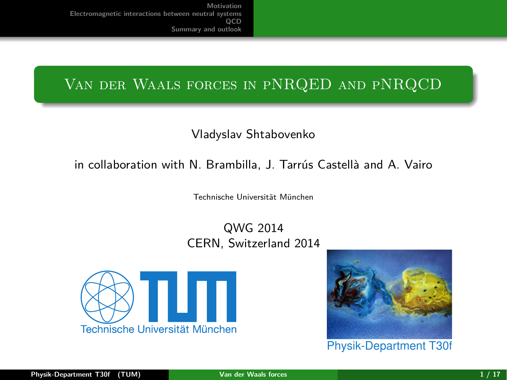# <span id="page-0-0"></span>Van der Waals forces in pNRQED and pNRQCD

# Vladyslav Shtabovenko

# in collaboration with N. Brambilla, J. Tarrús Castellà and A. Vairo

Technische Universität München

QWG 2014 CERN, Switzerland 2014





Physik-Department T30f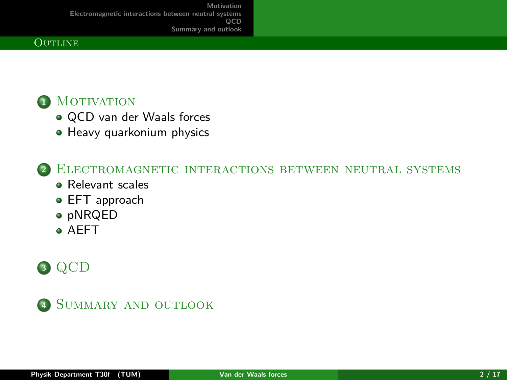### **OUTLINE**

# **1** MOTIVATION

- [QCD van der Waals forces](#page-2-0)
- [Heavy quarkonium physics](#page-3-0)

**<sup>2</sup>** [Electromagnetic interactions between neutral systems](#page-6-0)

- **e** [Relevant scales](#page-6-0)
- **[EFT approach](#page-9-0)**
- [pNRQED](#page-12-0)
- [AEFT](#page-14-0)

# **<sup>3</sup>** [QCD](#page-16-0)

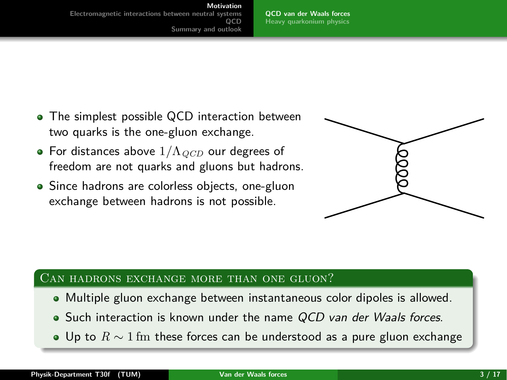#### **Motivation**

<span id="page-2-0"></span>**[Electromagnetic interactions between neutral systems](#page-6-0) QCD [Summary and outlook](#page-19-0)**

**[QCD van der Waals forces](#page-2-0) [Heavy quarkonium physics](#page-3-0)**

- The simplest possible QCD interaction between two quarks is the one-gluon exchange.
- For distances above 1*/*Λ*QCD* our degrees of freedom are not quarks and gluons but hadrons.
- Since hadrons are colorless objects, one-gluon exchange between hadrons is not possible.



### Can hadrons exchange more than one gluon?

- Multiple gluon exchange between instantaneous color dipoles is allowed.
- Such interaction is known under the name OCD van der Waals forces.
- Up to *R* ∼ 1 fm these forces can be understood as a pure gluon exchange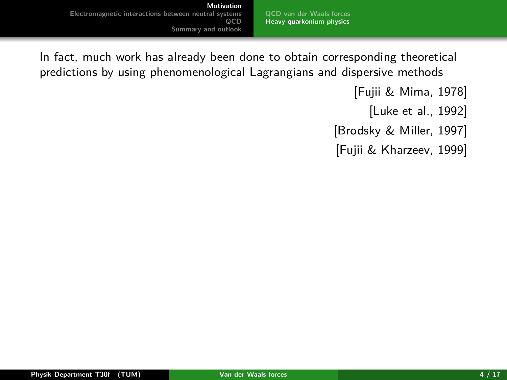**[QCD van der Waals forces](#page-2-0) [Heavy quarkonium physics](#page-4-0)**

<span id="page-3-0"></span>In fact, much work has already been done to obtain corresponding theoretical predictions by using phenomenological Lagrangians and dispersive methods

[\[Fujii & Mima, 1978\]](#page-26-0)

[\[Luke et al., 1992\]](#page-27-0)

[\[Brodsky & Miller, 1997\]](#page-25-0)

[\[Fujii & Kharzeev, 1999\]](#page-26-1)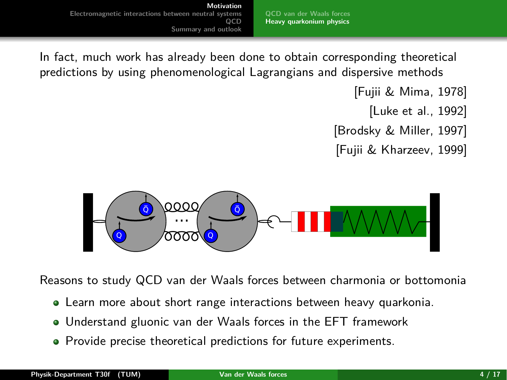**[QCD van der Waals forces](#page-2-0) [Heavy quarkonium physics](#page-3-0)**

<span id="page-4-0"></span>In fact, much work has already been done to obtain corresponding theoretical predictions by using phenomenological Lagrangians and dispersive methods

[\[Fujii & Mima, 1978\]](#page-26-0)

[\[Luke et al., 1992\]](#page-27-0)

[\[Brodsky & Miller, 1997\]](#page-25-0)

[\[Fujii & Kharzeev, 1999\]](#page-26-1)



Reasons to study QCD van der Waals forces between charmonia or bottomonia

- Learn more about short range interactions between heavy quarkonia.
- Understand gluonic van der Waals forces in the EFT framework
- Provide precise theoretical predictions for future experiments.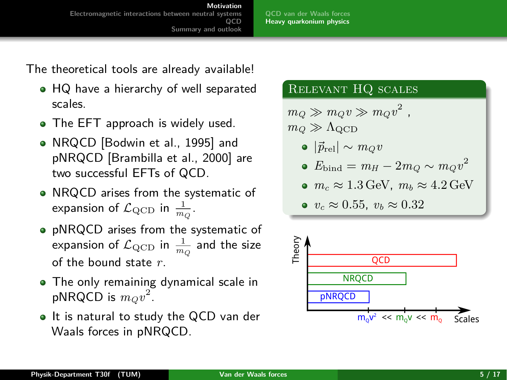**[QCD van der Waals forces](#page-2-0) [Heavy quarkonium physics](#page-3-0)**

The theoretical tools are already available!

- HQ have a hierarchy of well separated scales.
- The EFT approach is widely used.
- NRQCD [\[Bodwin et al., 1995\]](#page-25-1) and pNRQCD [\[Brambilla et al., 2000\]](#page-25-2) are two successful EFTs of QCD.
- NRQCD arises from the systematic of expansion of  $\mathcal{L}_{\text{QCD}}$  in  $\frac{1}{m_Q}$ .
- pNRQCD arises from the systematic of expansion of  $\mathcal{L}_{\text{QCD}}$  in  $\frac{1}{m_Q}$  and the size of the bound state *r*.
- The only remaining dynamical scale in pNRQCD is  $m_Qv^2$ .
- It is natural to study the QCD van der Waals forces in pNRQCD.

# Relevant HQ scales

 $m_Q \gg m_Q v \gg m_Q v^2$ ,  $m_Q \gg \Lambda_{\rm QCD}$ 

 $|*p*_{rel}| \sim m_Q v$ 

• 
$$
E_{\text{bind}} = m_H - 2m_Q \sim m_Q v^2
$$

•  $m_c \approx 1.3$  GeV,  $m_b \approx 4.2$  GeV

• 
$$
v_c \approx 0.55
$$
,  $v_b \approx 0.32$ 

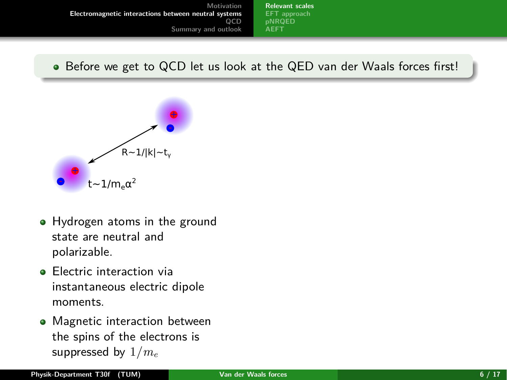**[Relevant scales](#page-7-0) [EFT approach](#page-9-0) [AEFT](#page-14-0)**

<span id="page-6-0"></span>Before we get to QCD let us look at the QED van der Waals forces first!



- Hydrogen atoms in the ground state are neutral and polarizable.
- **e** Electric interaction via instantaneous electric dipole moments.
- Magnetic interaction between the spins of the electrons is suppressed by 1*/m<sup>e</sup>*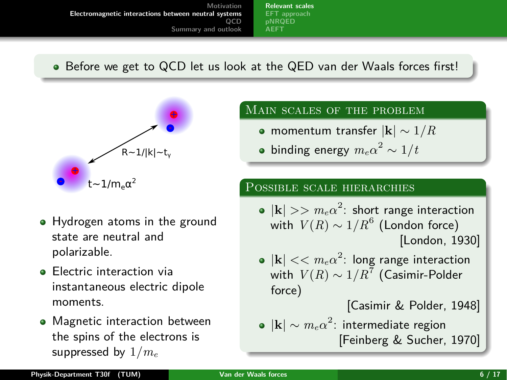**[Relevant scales](#page-6-0) [EFT approach](#page-9-0) [pNRQED](#page-12-0) [AEFT](#page-14-0)**

<span id="page-7-0"></span>Before we get to QCD let us look at the QED van der Waals forces first!



- Hydrogen atoms in the ground state are neutral and polarizable.
- **e** Electric interaction via instantaneous electric dipole moments.
- Magnetic interaction between the spins of the electrons is suppressed by 1*/m<sup>e</sup>*

## Main scales of the problem

- momentum transfer |**k**| ∼ 1*/R*
- binding energy  $m_e \alpha^2 \sim 1/t$

## Possible scale hierarchies

- $|\mathbf{k}| >> m_e\alpha^2$ : short range interaction with  $V(R) \sim 1/R^6$  (London force) [\[London, 1930\]](#page-26-2)
- $|{\bf k}| << m_e \alpha^2$ : long range interaction with  $\mathit{V}(R) \sim 1/R^7$  (Casimir-Polder force)

[\[Casimir & Polder, 1948\]](#page-25-3)

 $|\mathbf{k}| \sim m_e \alpha^2$ : intermediate region [\[Feinberg & Sucher, 1970\]](#page-26-3)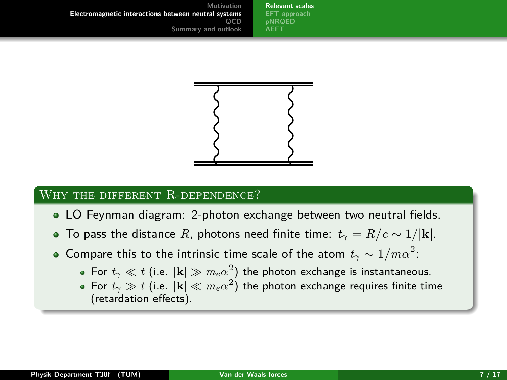**[Relevant scales](#page-6-0) [EFT approach](#page-9-0) [pNRQED](#page-12-0) [AEFT](#page-14-0)**



# WHY THE DIFFERENT R-DEPENDENCE?

- LO Feynman diagram: 2-photon exchange between two neutral fields.
- To pass the distance *R*, photons need finite time:  $t_{\gamma} = R/c \sim 1/|\mathbf{k}|$ .
- Compare this to the intrinsic time scale of the atom  $t_\gamma \sim 1/ m \alpha^2$ :
	- For  $t_\gamma \ll t$  (i.e.  $|{\bf k}| \gg m_e \alpha^2)$  the photon exchange is instantaneous.
	- For  $t_\gamma \gg t$  (i.e.  $|\mathbf{k}| \ll m_e \alpha^2)$  the photon exchange requires finite time (retardation effects).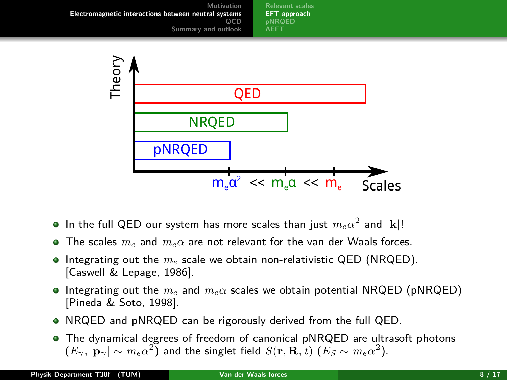<span id="page-9-0"></span>

 $m_{\rm e}a^2 \ll m_{\rm e}a \ll m_{\rm e}$  Scales

- In the full QED our system has more scales than just  $m_e \alpha^2$  and  $|\mathbf{k}|!$
- The scales *me* and *meα* are not relevant for the van der Waals forces.
- **Integrating out the**  $m_e$  **scale we obtain non-relativistic QED (NRQED).** [\[Caswell & Lepage, 1986\]](#page-25-4).
- Integrating out the *me* and *meα* scales we obtain potential NRQED (pNRQED) [\[Pineda & Soto, 1998\]](#page-27-1).
- NRQED and pNRQED can be rigorously derived from the full QED.
- The dynamical degrees of freedom of canonical pNRQED are ultrasoft photons  $(E_\gamma, |\mathbf{p}_\gamma| \sim m_e \alpha^2)$  and the singlet field  $S(\mathbf{r}, \mathbf{R}, t)$   $(E_S \sim m_e \alpha^2)$ .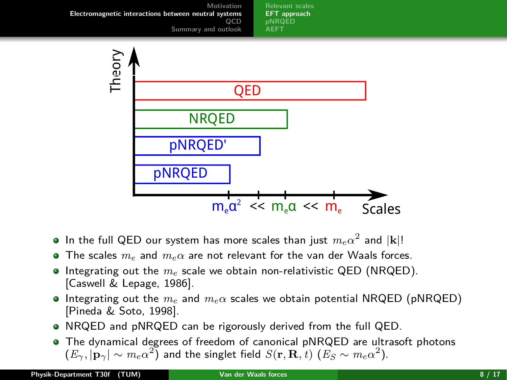<span id="page-10-0"></span>

- In the full QED our system has more scales than just  $m_e \alpha^2$  and  $|\mathbf{k}|!$
- The scales *me* and *meα* are not relevant for the van der Waals forces.
- **Integrating out the**  $m_e$  **scale we obtain non-relativistic QED (NRQED).** [\[Caswell & Lepage, 1986\]](#page-25-4).
- Integrating out the *me* and *meα* scales we obtain potential NRQED (pNRQED) [\[Pineda & Soto, 1998\]](#page-27-1).
- NRQED and pNRQED can be rigorously derived from the full QED.
- The dynamical degrees of freedom of canonical pNRQED are ultrasoft photons  $(E_\gamma, |\mathbf{p}_\gamma| \sim m_e \alpha^2)$  and the singlet field  $S(\mathbf{r}, \mathbf{R}, t)$   $(E_S \sim m_e \alpha^2)$ .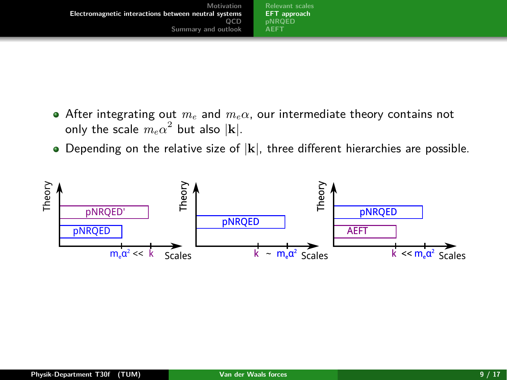| Motivation                                           | <b>Relevant scales</b> |
|------------------------------------------------------|------------------------|
| Electromagnetic interactions between neutral systems | <b>EFT</b> approach    |
| 0CD                                                  | <b>pNROED</b>          |
| Summary and outlook                                  | <b>AEET</b>            |

- After integrating out *m<sup>e</sup>* and *meα*, our intermediate theory contains not only the scale  $m_e \alpha^2$  but also  $|\mathbf{k}|$ .
- Depending on the relative size of |**k**|, three different hierarchies are possible.

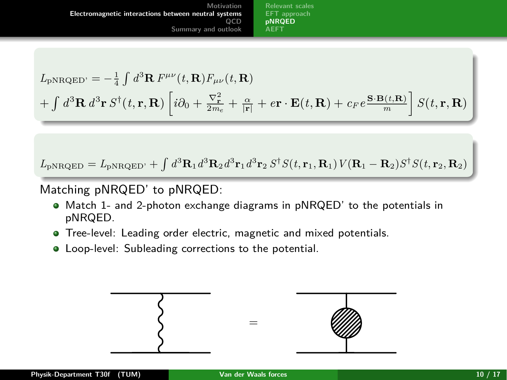**[Relevant scales](#page-6-0) [EFT approach](#page-9-0) [pNRQED](#page-12-0) [AEFT](#page-14-0)**

<span id="page-12-0"></span>
$$
L_{\text{pNRQED'}} = -\frac{1}{4} \int d^3 \mathbf{R} F^{\mu\nu}(t, \mathbf{R}) F_{\mu\nu}(t, \mathbf{R})
$$
  
+ 
$$
\int d^3 \mathbf{R} d^3 \mathbf{r} S^{\dagger}(t, \mathbf{r}, \mathbf{R}) \left[ i \partial_0 + \frac{\nabla_{\mathbf{r}}^2}{2m_e} + \frac{\alpha}{|\mathbf{r}|} + e \mathbf{r} \cdot \mathbf{E}(t, \mathbf{R}) + c_F e \frac{\mathbf{S} \cdot \mathbf{B}(t, \mathbf{R})}{m} \right] S(t, \mathbf{r}, \mathbf{R})
$$

 $L_{\rm pNRQED} = L_{\rm pNRQED'} + \int d^3\mathbf{R}_1 d^3\mathbf{R}_2 d^3\mathbf{r}_1 d^3\mathbf{r}_2 S^{\dagger} S(t,\mathbf{r}_1,\mathbf{R}_1) V(\mathbf{R}_1-\mathbf{R}_2) S^{\dagger} S(t,\mathbf{r}_2,\mathbf{R}_2)$ 

Matching pNRQED' to pNRQED:

- Match 1- and 2-photon exchange diagrams in pNRQED' to the potentials in pNRQED.
- Tree-level: Leading order electric, magnetic and mixed potentials.
- Loop-level: Subleading corrections to the potential.

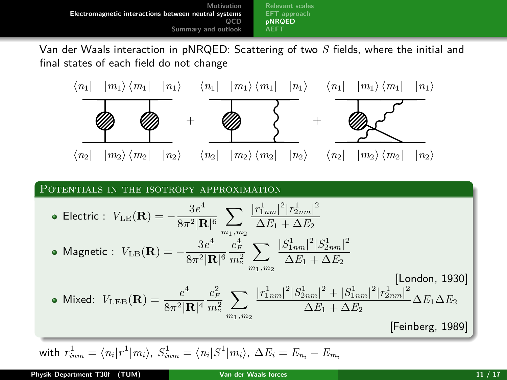**[Relevant scales](#page-6-0) [EFT approach](#page-9-0) [pNRQED](#page-12-0) [AEFT](#page-14-0)**

Van der Waals interaction in pNRQED: Scattering of two *S* fields, where the initial and final states of each field do not change



#### POTENTIALS IN THE ISOTROPY APPROXIMATION

• Electric : 
$$
V_{LE}(\mathbf{R}) = -\frac{3e^4}{8\pi^2 |\mathbf{R}|^6} \sum_{m_1,m_2} \frac{|r_{1nm}^1|^2 |r_{2nm}^1|^2}{\Delta E_1 + \Delta E_2}
$$
  
\n• Magnetic :  $V_{LE}(\mathbf{R}) = -\frac{3e^4}{8\pi^2 |\mathbf{R}|^6} \frac{c_F^4}{m_e^2} \sum_{m_1,m_2} \frac{|S_{1nm}^1|^2 |S_{2nm}^1|^2}{\Delta E_1 + \Delta E_2}$  [London, 1930]  
\n• Mixed:  $V_{LEB}(\mathbf{R}) = \frac{e^4}{8\pi^2 |\mathbf{R}|^4} \frac{c_F^2}{m_e^2} \sum_{m_1,m_2} \frac{|r_{1nm}^1|^2 |S_{2nm}^1|^2 + |S_{1nm}^1|^2 |r_{2nm}^1|^2}{\Delta E_1 + \Delta E_2} \Delta E_1 \Delta E_2$  [Feinberg, 1989]

with  $r_{inm}^1 = \langle n_i | r^1 | m_i \rangle$ ,  $S_{inm}^1 = \langle n_i | S^1 | m_i \rangle$ ,  $\Delta E_i = E_{n_i} - E_{m_i}$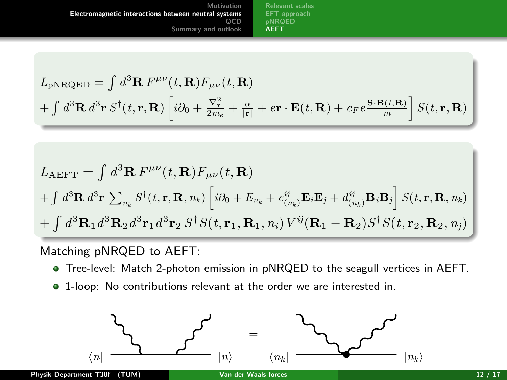<span id="page-14-0"></span>**Motivation [Electromagnetic interactions between neutral systems](#page-6-0) QCD [Summary and outlook](#page-19-0) [Relevant scales](#page-6-0) [EFT approach](#page-9-0) [AEFT](#page-14-0)**

$$
L_{\text{pNRQED}} = \int d^3 \mathbf{R} F^{\mu\nu}(t, \mathbf{R}) F_{\mu\nu}(t, \mathbf{R})
$$
  
+ 
$$
\int d^3 \mathbf{R} d^3 \mathbf{r} S^{\dagger}(t, \mathbf{r}, \mathbf{R}) \left[ i \partial_0 + \frac{\nabla_{\mathbf{r}}^2}{2m_e} + \frac{\alpha}{|\mathbf{r}|} + e \mathbf{r} \cdot \mathbf{E}(t, \mathbf{R}) + c_F e \frac{\mathbf{S} \cdot \mathbf{B}(t, \mathbf{R})}{m} \right] S(t, \mathbf{r}, \mathbf{R})
$$

$$
L_{\text{AEFT}} = \int d^3 \mathbf{R} F^{\mu\nu}(t, \mathbf{R}) F_{\mu\nu}(t, \mathbf{R})
$$
  
+ 
$$
\int d^3 \mathbf{R} d^3 \mathbf{r} \sum_{n_k} S^{\dagger}(t, \mathbf{r}, \mathbf{R}, n_k) \left[ i \partial_0 + E_{n_k} + c^{\ddot{v}}_{(n_k)} \mathbf{E}_i \mathbf{E}_j + d^{\ddot{v}}_{(n_k)} \mathbf{B}_i \mathbf{B}_j \right] S(t, \mathbf{r}, \mathbf{R}, n_k)
$$
  
+ 
$$
\int d^3 \mathbf{R}_1 d^3 \mathbf{R}_2 d^3 \mathbf{r}_1 d^3 \mathbf{r}_2 S^{\dagger} S(t, \mathbf{r}_1, \mathbf{R}_1, n_i) V^{\ddot{v}} (\mathbf{R}_1 - \mathbf{R}_2) S^{\dagger} S(t, \mathbf{r}_2, \mathbf{R}_2, n_j)
$$

Matching pNRQED to AEFT:

- Tree-level: Match 2-photon emission in pNRQED to the seagull vertices in AEFT.
- 1-loop: No contributions relevant at the order we are interested in.

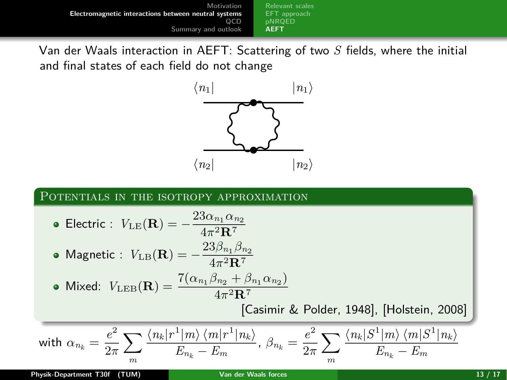**Motivation [Electromagnetic interactions between neutral systems](#page-6-0) QCD [Summary and outlook](#page-19-0) [Relevant scales](#page-6-0) [AEFT](#page-14-0)**

Van der Waals interaction in AEFT: Scattering of two *S* fields, where the initial and final states of each field do not change



### POTENTIALS IN THE ISOTROPY APPROXIMATION

\n- Electric: 
$$
V_{\text{LE}}(\mathbf{R}) = -\frac{23\alpha_{n_1}\alpha_{n_2}}{4\pi^2 \mathbf{R}^7}
$$
\n- Magnetic:  $V_{\text{LB}}(\mathbf{R}) = -\frac{23\beta_{n_1}\beta_{n_2}}{4\pi^2 \mathbf{R}^7}$
\n- Mixed:  $V_{\text{LEB}}(\mathbf{R}) = \frac{7(\alpha_{n_1}\beta_{n_2} + \beta_{n_1}\alpha_{n_2})}{4\pi^2 \mathbf{R}^7}$  [Casimir & Polder, 1948], [Holstein, 2008]
\n- with  $\alpha_{n_k} = \frac{e^2}{2\pi} \sum_m \frac{\langle n_k | r^1 | m \rangle \langle m | r^1 | n_k \rangle}{E_{n_k} - E_m}, \ \beta_{n_k} = \frac{e^2}{2\pi} \sum_m \frac{\langle n_k | S^1 | m \rangle \langle m | S^1 | n_k \rangle}{E_{n_k} - E_m}$
\n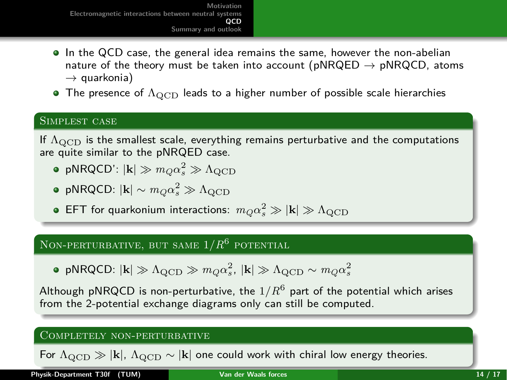- <span id="page-16-0"></span>• In the QCD case, the general idea remains the same, however the non-abelian nature of the theory must be taken into account ( $pNRQED \rightarrow pNRQCD$ , atoms  $\rightarrow$  quarkonia)
- The presence of  $\Lambda_{\rm QCD}$  leads to a higher number of possible scale hierarchies

### Simplest case

If  $\Lambda$ <sub>OCD</sub> is the smallest scale, everything remains perturbative and the computations are quite similar to the pNRQED case.

- $p$ NRQCD':  $|\mathbf{k}| \gg m_Q \alpha_s^2 \gg \Lambda_{\rm QCD}$
- $p$ NRQCD:  $|\mathbf{k}| \sim m_Q \alpha_s^2 \gg \Lambda_{\rm QCD}$
- $\mathsf{EFT}$  for quarkonium interactions:  $m_Q \alpha_s^2 \gg |{\bf k}| \gg \Lambda_{\rm QCD}$

# Non-perturbative, but same 1*/R* 6 potential

$$
\bullet\;\text{pNRQCD:}\;|\mathbf{k}|\gg\Lambda_{\rm QCD}\gg m_Q\alpha_s^2,\,|\mathbf{k}|\gg\Lambda_{\rm QCD}\sim m_Q\alpha_s^2
$$

Although pNRQCD is non-perturbative, the  $1/R^6$  part of the potential which arises from the 2-potential exchange diagrams only can still be computed.

#### Completely non-perturbative

For  $\Lambda_{\text{QCD}} \gg |\mathbf{k}|$ ,  $\Lambda_{\text{QCD}} \sim |\mathbf{k}|$  one could work with chiral low energy theories.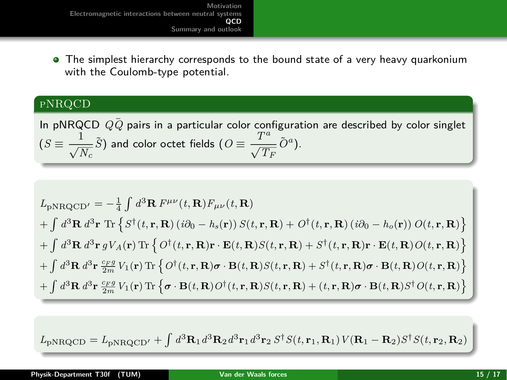• The simplest hierarchy corresponds to the bound state of a very heavy quarkonium with the Coulomb-type potential.

## pNRQCD

In pNRQCD  $Q\bar{Q}$  pairs in a particular color configuration are described by color singlet  $(S \equiv \frac{1}{\sqrt{N_c}} \tilde{S})$  and color octet fields  $(O \equiv \frac{T^a}{\sqrt{T_F}} \tilde{O}^a)$ .

$$
L_{\rm pNRQCD'} = -\frac{1}{4} \int d^3 \mathbf{R} F^{\mu\nu}(t, \mathbf{R}) F_{\mu\nu}(t, \mathbf{R})
$$
  
+ 
$$
\int d^3 \mathbf{R} d^3 \mathbf{r} \text{ Tr} \left\{ S^{\dagger}(t, \mathbf{r}, \mathbf{R}) (i\partial_0 - h_s(\mathbf{r})) S(t, \mathbf{r}, \mathbf{R}) + O^{\dagger}(t, \mathbf{r}, \mathbf{R}) (i\partial_0 - h_o(\mathbf{r})) O(t, \mathbf{r}, \mathbf{R}) \right\}
$$
  
+ 
$$
\int d^3 \mathbf{R} d^3 \mathbf{r} g V_A(\mathbf{r}) \text{ Tr} \left\{ O^{\dagger}(t, \mathbf{r}, \mathbf{R}) \mathbf{r} \cdot \mathbf{E}(t, \mathbf{R}) S(t, \mathbf{r}, \mathbf{R}) + S^{\dagger}(t, \mathbf{r}, \mathbf{R}) \mathbf{r} \cdot \mathbf{E}(t, \mathbf{R}) O(t, \mathbf{r}, \mathbf{R}) \right\}
$$
  
+ 
$$
\int d^3 \mathbf{R} d^3 \mathbf{r} \frac{c_F g}{2m} V_1(\mathbf{r}) \text{ Tr} \left\{ O^{\dagger}(t, \mathbf{r}, \mathbf{R}) \boldsymbol{\sigma} \cdot \mathbf{B}(t, \mathbf{R}) S(t, \mathbf{r}, \mathbf{R}) + S^{\dagger}(t, \mathbf{r}, \mathbf{R}) \boldsymbol{\sigma} \cdot \mathbf{B}(t, \mathbf{R}) O(t, \mathbf{r}, \mathbf{R}) \right\}
$$
  
+ 
$$
\int d^3 \mathbf{R} d^3 \mathbf{r} \frac{c_F g}{2m} V_1(\mathbf{r}) \text{ Tr} \left\{ \boldsymbol{\sigma} \cdot \mathbf{B}(t, \mathbf{R}) O^{\dagger}(t, \mathbf{r}, \mathbf{R}) S(t, \mathbf{r}, \mathbf{R}) + (t, \mathbf{r}, \mathbf{R}) \boldsymbol{\sigma} \cdot \mathbf{B}(t, \mathbf{R}) S^{\dagger} O(t, \mathbf{r}, \mathbf{R}) \right\}
$$

 $L_{\rm pNRQCD} = L_{\rm pNRQCD'} + \int d^3\mathbf{R}_1 d^3\mathbf{R}_2 d^3\mathbf{r}_1 d^3\mathbf{r}_2 S^{\dagger} S(t,\mathbf{r}_1,\mathbf{R}_1) V(\mathbf{R}_1-\mathbf{R}_2) S^{\dagger} S(t,\mathbf{r}_2,\mathbf{R}_2)$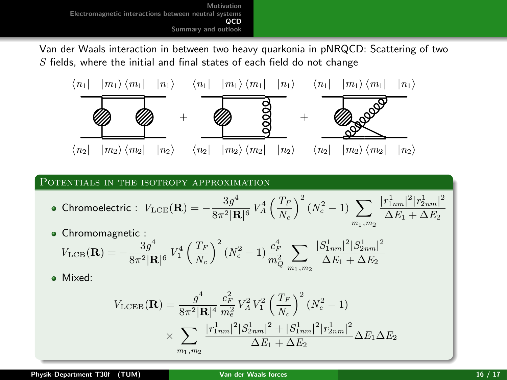Van der Waals interaction in between two heavy quarkonia in pNRQCD: Scattering of two *S* fields, where the initial and final states of each field do not change



#### POTENTIALS IN THE ISOTROPY APPROXIMATION

• Chromoelectric: 
$$
V_{\text{LCE}}(\mathbf{R}) = -\frac{3g^4}{8\pi^2 |\mathbf{R}|^6} V_A^4 \left(\frac{T_F}{N_c}\right)^2 (N_c^2 - 1) \sum_{m_1,m_2} \frac{|r_{1nm}^1|^2 |r_{2nm}^1|^2}{\Delta E_1 + \Delta E_2}
$$

**·** Chromomagnetic :  $V_{\rm LCB}({\bf R}) = -\frac{3g^4}{8-3{\bf R}}$  $\frac{3g^4}{8\pi^2|\mathbf{R}|^6}V_1^4\left(\frac{T_F}{N_c}\right)$ *N<sup>c</sup>*  $\int^2 (N_c^2 - 1) \frac{c_F^4}{m_Q^2}$  $\sum$ *m*1*,m*2  $|S^1_{1nm}|^2 |S^1_{2nm}|^2$  $\Delta E_1 + \Delta E_2$ 

Mixed:

$$
V_{\rm LCEB}(\mathbf{R}) = \frac{g^4}{8\pi^2 |\mathbf{R}|^4} \frac{c_F^2}{m_e^2} V_A^2 V_1^2 \left(\frac{T_F}{N_c}\right)^2 (N_c^2 - 1)
$$

$$
\times \sum_{m_1, m_2} \frac{|r_{1nm}^1|^2 |S_{2nm}^1|^2 + |S_{1nm}^1|^2 |r_{2nm}^1|^2}{\Delta E_1 + \Delta E_2} \Delta E_1 \Delta E_2
$$

 $+ \Delta E_2$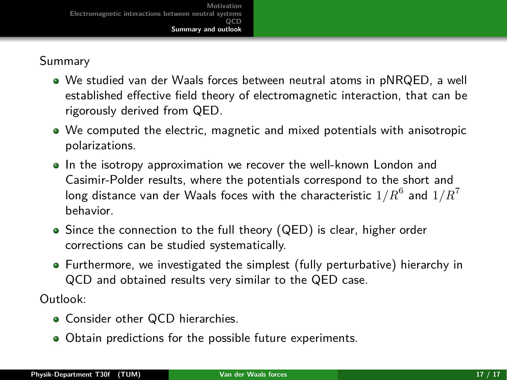# <span id="page-19-0"></span>Summary

- We studied van der Waals forces between neutral atoms in pNRQED, a well established effective field theory of electromagnetic interaction, that can be rigorously derived from QED.
- We computed the electric, magnetic and mixed potentials with anisotropic polarizations.
- In the isotropy approximation we recover the well-known London and Casimir-Polder results, where the potentials correspond to the short and long distance van der Waals foces with the characteristic  $1/R^6$  and  $1/R^7$ behavior.
- Since the connection to the full theory (QED) is clear, higher order corrections can be studied systematically.
- Furthermore, we investigated the simplest (fully perturbative) hierarchy in QCD and obtained results very similar to the QED case.

Outlook:

- Consider other QCD hierarchies.
- Obtain predictions for the possible future experiments.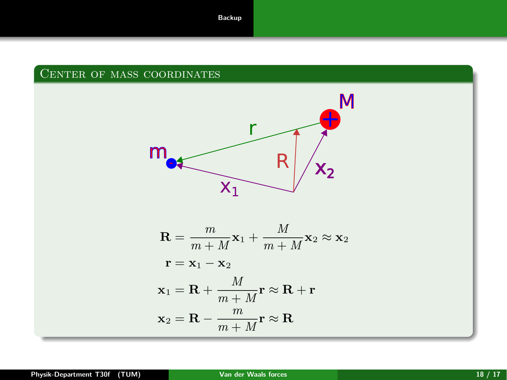## <span id="page-20-0"></span>Center of mass coordinates

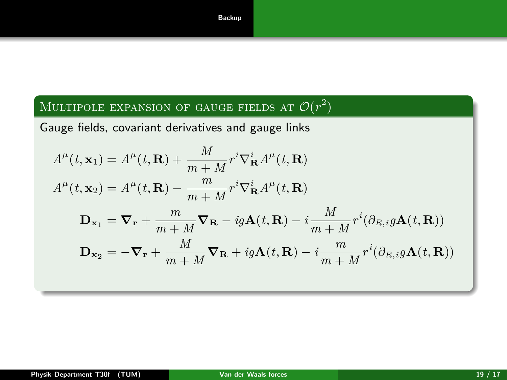# Multipole expansion of gauge fields at  $\mathcal{O}(r^2)$

Gauge fields, covariant derivatives and gauge links

$$
A^{\mu}(t, \mathbf{x}_{1}) = A^{\mu}(t, \mathbf{R}) + \frac{M}{m+M} r^{i} \nabla_{\mathbf{R}}^{i} A^{\mu}(t, \mathbf{R})
$$
  
\n
$$
A^{\mu}(t, \mathbf{x}_{2}) = A^{\mu}(t, \mathbf{R}) - \frac{m}{m+M} r^{i} \nabla_{\mathbf{R}}^{i} A^{\mu}(t, \mathbf{R})
$$
  
\n
$$
\mathbf{D}_{\mathbf{x}_{1}} = \nabla_{\mathbf{r}} + \frac{m}{m+M} \nabla_{\mathbf{R}} - ig \mathbf{A}(t, \mathbf{R}) - i \frac{M}{m+M} r^{i} (\partial_{R,i} g \mathbf{A}(t, \mathbf{R}))
$$
  
\n
$$
\mathbf{D}_{\mathbf{x}_{2}} = -\nabla_{\mathbf{r}} + \frac{M}{m+M} \nabla_{\mathbf{R}} + ig \mathbf{A}(t, \mathbf{R}) - i \frac{m}{m+M} r^{i} (\partial_{R,i} g \mathbf{A}(t, \mathbf{R}))
$$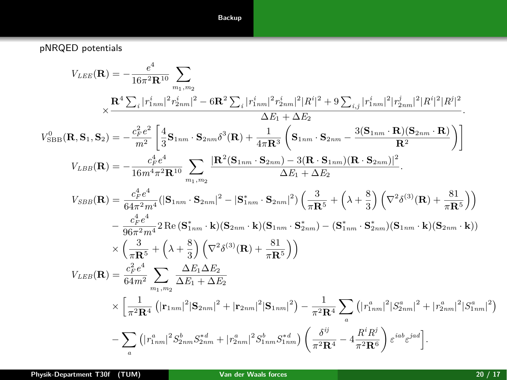#### **[Backup](#page-20-0)**

pNRQED potentials

$$
V_{LEE}(\mathbf{R}) = -\frac{e^4}{16\pi^2 \mathbf{R}^{10}} \sum_{m_1,m_2} \times \frac{\mathbf{R}^4 \sum_i |r_{1mn}^i|^2 r_{2nm}^i|^2 - 6\mathbf{R}^2 \sum_i |r_{1nm}^i|^2 r_{2nm}^i|^2 |R^i|^2 + 9 \sum_{i,j} |r_{1nm}^i|^2 |r_{2nm}^j|^2 |R^i|^2 |R^j|^2}{\Delta E_1 + \Delta E_2}.
$$
  
\n
$$
V_{SBB}^0(\mathbf{R}, \mathbf{S}_1, \mathbf{S}_2) = -\frac{c_F^2 e^2}{m^2} \left[ \frac{4}{3} \mathbf{S}_{1nm} \cdot \mathbf{S}_{2nm} \delta^3(\mathbf{R}) + \frac{1}{4\pi \mathbf{R}^3} \left( \mathbf{S}_{1nm} \cdot \mathbf{S}_{2nm} - \frac{3(\mathbf{S}_{1nm} \cdot \mathbf{R})(\mathbf{S}_{2nm} \cdot \mathbf{R})}{\mathbf{R}^2} \right) \right]
$$
  
\n
$$
V_{LBB}(\mathbf{R}) = -\frac{c_F^4 e^4}{16m^4 \pi^2 \mathbf{R}^{10}} \sum_{m_1,m_2} \frac{|\mathbf{R}^2(\mathbf{S}_{1nm} \cdot \mathbf{S}_{2nm}) - 3(\mathbf{R} \cdot \mathbf{S}_{1nm}) (\mathbf{R} \cdot \mathbf{S}_{2nm})|^2}{\Delta E_1 + \Delta E_2}.
$$
  
\n
$$
V_{SBB}(\mathbf{R}) = \frac{c_F^4 e^4}{64\pi^2 m^4} (|\mathbf{S}_{1nm} \cdot \mathbf{S}_{2nm}|^2 - |\mathbf{S}_{1nm}^* \cdot \mathbf{S}_{2nm}|^2) \left( \frac{3}{\pi \mathbf{R}^5} + \left( \lambda + \frac{8}{3} \right) \left( \nabla^2 \delta^{(3)}(\mathbf{R}) + \frac{81}{\pi \mathbf{R}^5} \right) \right)
$$
  
\n
$$
- \frac{c_F^4 e^4}{96\pi^2 m^4} 2 \operatorname{Re} (\mathbf{S}_{1nm}^* \cdot \mathbf{k}) (\mathbf{S}_{2nm} \cdot
$$

**Physik-Department T30f (TUM) [Van der Waals forces](#page-0-0) 20 / 17**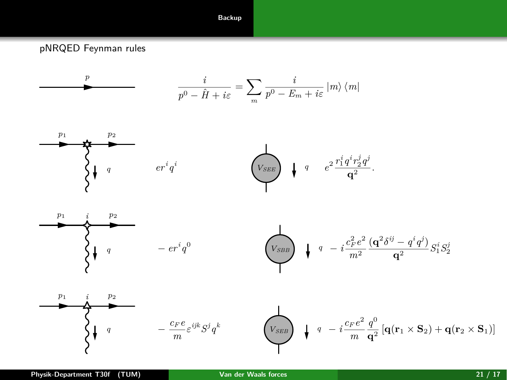#### **[Backup](#page-20-0)**

pNRQED Feynman rules

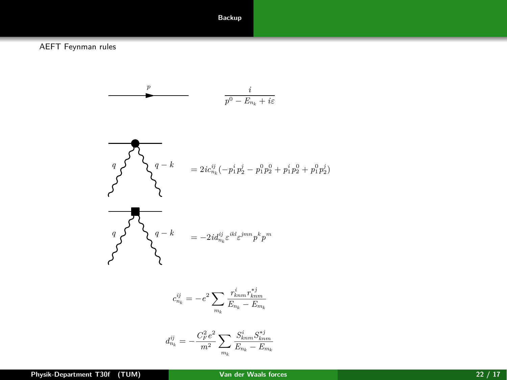#### **[Backup](#page-20-0)**

AEFT Feynman rules

*p i p* <sup>0</sup> − *E<sup>n</sup><sup>k</sup>* + *iε q q* <sup>−</sup> *<sup>k</sup>* <sup>=</sup> <sup>2</sup>*icij n<sup>k</sup>* (−*p i* <sup>1</sup>*p j* <sup>2</sup> − *p* 0 <sup>1</sup>*p* 0 <sup>2</sup> + *p i* <sup>1</sup>*p* 0 <sup>2</sup> + *p* 0 <sup>1</sup>*p j* 2 ) *q q* <sup>−</sup> *<sup>k</sup>* <sup>=</sup> <sup>−</sup>2*idij <sup>n</sup><sup>k</sup> ε iklε jmnp <sup>k</sup>p m c ij <sup>n</sup><sup>k</sup>* = −*e* 2X *m<sup>k</sup> r i knmr* ∗*j knm E<sup>n</sup><sup>k</sup>* − *E<sup>m</sup><sup>k</sup> d ij <sup>n</sup><sup>k</sup>* = − *C* 2 *<sup>F</sup> e* 2 *m*<sup>2</sup> X *S i knmS* ∗*j knm E<sup>n</sup><sup>k</sup>* − *E<sup>m</sup><sup>k</sup>*

*m<sup>k</sup>*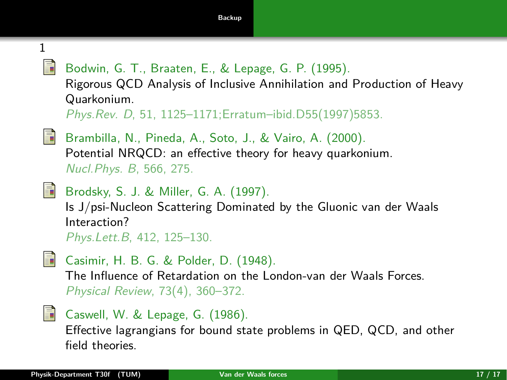<span id="page-25-1"></span>1 ā.

Bodwin, G. T., Braaten, E., & Lepage, G. P. (1995).

Rigorous QCD Analysis of Inclusive Annihilation and Production of Heavy Quarkonium.

Phys.Rev. D, 51, 1125–1171;Erratum–ibid.D55(1997)5853.

<span id="page-25-2"></span>

Brambilla, N., Pineda, A., Soto, J., & Vairo, A. (2000). Potential NRQCD: an effective theory for heavy quarkonium. Nucl.Phys. B, 566, 275.

<span id="page-25-0"></span>

```
Brodsky, S. J. & Miller, G. A. (1997).
```
Is J/psi-Nucleon Scattering Dominated by the Gluonic van der Waals Interaction?

Phys.Lett.B, 412, 125–130.

<span id="page-25-3"></span>

Casimir, H. B. G. & Polder, D. (1948). The Influence of Retardation on the London-van der Waals Forces. Physical Review, 73(4), 360–372.

<span id="page-25-4"></span>

Caswell, W. & Lepage, G. (1986).

Effective lagrangians for bound state problems in QED, QCD, and other field theories.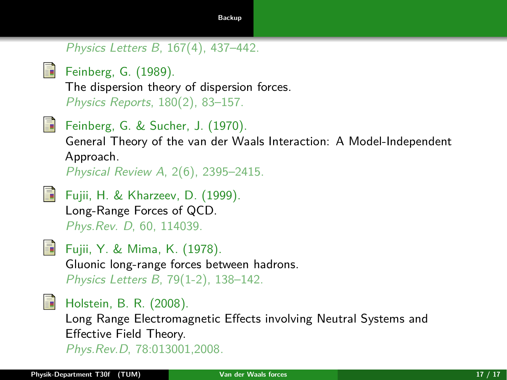# Physics Letters B, 167(4), 437–442.

<span id="page-26-4"></span>

Feinberg, G. (1989). The dispersion theory of dispersion forces. Physics Reports, 180(2), 83–157.

<span id="page-26-3"></span>

Feinberg, G. & Sucher, J. (1970).

General Theory of the van der Waals Interaction: A Model-Independent Approach.

Physical Review A, 2(6), 2395–2415.

<span id="page-26-1"></span>

Fujii, H. & Kharzeev, D. (1999). Long-Range Forces of QCD. Phys.Rev. D, 60, 114039.

<span id="page-26-0"></span>

Fujii, Y. & Mima, K. (1978). Gluonic long-range forces between hadrons. Physics Letters B, 79(1-2), 138–142.

<span id="page-26-5"></span>

<span id="page-26-2"></span>**Holstein, B. R. (2008).** Long Range Electromagnetic Effects involving Neutral Systems and Effective Field Theory. Phys.Rev.D, 78:013001,2008.